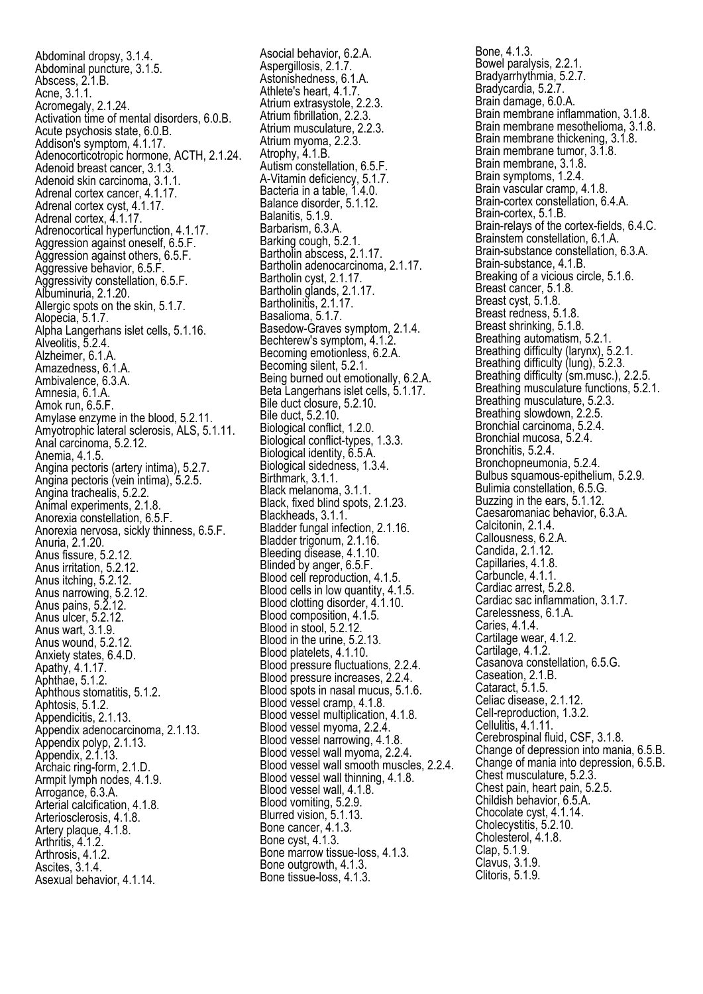Abdominal dropsy, 3.1.4. Abdominal puncture, 3.1.5. Abscess, 2.1.B. Acne, 3.1.1. Acromegaly, 2.1.24. Activation time of mental disorders, 6.0.B. Acute psychosis state, 6.0.B. Addison's symptom, 4.1.17. Adenocorticotropic hormone, ACTH, 2.1.24. Adenoid breast cancer, 3.1.3. Adenoid skin carcinoma, 3.1.1. Adrenal cortex cancer, 4.1.17. Adrenal cortex cyst, 4.1.17. Adrenal cortex, 4.1.17. Adrenocortical hyperfunction, 4.1.17. Aggression against oneself, 6.5.F. Aggression against others, 6.5.F. Aggressive behavior, 6.5.F. Aggressivity constellation, 6.5.F. Albuminuria, 2.1.20. Allergic spots on the skin, 5.1.7. Alopecia, 5.1.7. Alpha Langerhans islet cells, 5.1.16. Alveolitis, 5.2.4. Alzheimer, 6.1.A. Amazedness, 6.1.A. Ambivalence, 6.3.A. Amnesia, 6.1.A. Amok run, 6.5.F. Amylase enzyme in the blood, 5.2.11. Amyotrophic lateral sclerosis, ALS, 5.1.11. Anal carcinoma, 5.2.12. Anemia, 4.1.5. Angina pectoris (artery intima), 5.2.7. Angina pectoris (vein intima), 5.2.5. Angina trachealis, 5.2.2. Animal experiments, 2.1.8. Anorexia constellation, 6.5.F. Anorexia nervosa, sickly thinness, 6.5.F. Anuria, 2.1.20. Anus fissure, 5.2.12. Anus irritation, 5.2.12. Anus itching, 5.2.12. Anus narrowing, 5.2.12. Anus pains, 5.2.12. Anus ulcer, 5.2.12. Anus wart, 3.1.9. Anus wound, 5.2.12. Anxiety states, 6.4.D. Apathy, 4.1.17. Aphthae, 5.1.2. Aphthous stomatitis, 5.1.2. Aphtosis, 5.1.2. Appendicitis, 2.1.13. Appendix adenocarcinoma, 2.1.13. Appendix polyp, 2.1.13. Appendix, 2.1.13. Archaic ring-form, 2.1.D. Armpit lymph nodes, 4.1.9. Arrogance, 6.3.A. Arterial calcification, 4.1.8. Arteriosclerosis, 4.1.8. Artery plaque, 4.1.8. Arthritis, 4.1.2. Arthrosis, 4.1.2. Ascites, 3.1.4. Asexual behavior, 4.1.14.

Asocial behavior, 6.2.A. Aspergillosis, 2.1.7. Astonishedness, 6.1.A. Athlete's heart, 4.1.7. Atrium extrasystole, 2.2.3. Atrium fibrillation, 2.2.3. Atrium musculature, 2.2.3. Atrium myoma, 2.2.3. Atrophy, 4.1.B. Autism constellation, 6.5.F. A-Vitamin deficiency, 5.1.7. Bacteria in a table, 1.4.0. Balance disorder, 5.1.12. Balanitis, 5.1.9. Barbarism, 6.3.A. Barking cough, 5.2.1. Bartholin abscess, 2.1.17. Bartholin adenocarcinoma, 2.1.17. Bartholin cyst, 2.1.17. Bartholin glands, 2.1.17. Bartholinitis, 2.1.17. Basalioma, 5.1.7. Basedow-Graves symptom, 2.1.4. Bechterew's symptom, 4.1.2. Becoming emotionless, 6.2.A. Becoming silent, 5.2.1. Being burned out emotionally, 6.2.A. Beta Langerhans islet cells, 5.1.17. Bile duct closure, 5.2.10. Bile duct, 5.2.10. Biological conflict, 1.2.0. Biological conflict-types, 1.3.3. Biological identity, 6.5.A. Biological sidedness, 1.3.4. Birthmark, 3.1.1. Black melanoma, 3.1.1. Black, fixed blind spots, 2.1.23. Blackheads, 3.1.1. Bladder fungal infection, 2.1.16. Bladder trigonum, 2.1.16. Bleeding disease, 4.1.10. Blinded by anger, 6.5.F. Blood cell reproduction, 4.1.5. Blood cells in low quantity, 4.1.5. Blood clotting disorder, 4.1.10. Blood composition, 4.1.5. Blood in stool, 5.2.12. Blood in the urine, 5.2.13. Blood platelets, 4.1.10. Blood pressure fluctuations, 2.2.4. Blood pressure increases, 2.2.4. Blood spots in nasal mucus, 5.1.6. Blood vessel cramp, 4.1.8. Blood vessel multiplication, 4.1.8. Blood vessel myoma, 2.2.4. Blood vessel narrowing, 4.1.8. Blood vessel wall myoma, 2.2.4. Blood vessel wall smooth muscles, 2.2.4. Blood vessel wall thinning, 4.1.8. Blood vessel wall, 4.1.8. Blood vomiting, 5.2.9. Blurred vision, 5.1.13. Bone cancer, 4.1.3. Bone cyst, 4.1.3. Bone marrow tissue-loss, 4.1.3. Bone outgrowth, 4.1.3. Bone tissue-loss, 4.1.3.

Bone, 4.1.3. Bowel paralysis, 2.2.1. Bradyarrhythmia, 5.2.7. Bradycardia, 5.2.7. Brain damage, 6.0.A. Brain membrane inflammation, 3.1.8. Brain membrane mesothelioma, 3.1.8. Brain membrane thickening, 3.1.8. Brain membrane tumor, 3.1.8. Brain membrane, 3.1.8. Brain symptoms, 1.2.4. Brain vascular cramp, 4.1.8. Brain-cortex constellation, 6.4.A. Brain-cortex, 5.1.B. Brain-relays of the cortex-fields, 6.4.C. Brainstem constellation, 6.1.A. Brain-substance constellation, 6.3.A. Brain-substance, 4.1.B. Breaking of a vicious circle, 5.1.6. Breast cancer, 5.1.8. Breast cyst, 5.1.8. Breast redness, 5.1.8. Breast shrinking, 5.1.8. Breathing automatism, 5.2.1. Breathing difficulty (larynx), 5.2.1. Breathing difficulty (lung), 5.2.3. Breathing difficulty (sm.musc.), 2.2.5. Breathing musculature functions, 5.2.1. Breathing musculature, 5.2.3. Breathing slowdown, 2.2.5. Bronchial carcinoma, 5.2.4. Bronchial mucosa, 5.2.4. Bronchitis, 5.2.4. Bronchopneumonia, 5.2.4. Bulbus squamous-epithelium, 5.2.9. Bulimia constellation, 6.5.G. Buzzing in the ears, 5.1.12. Caesaromaniac behavior, 6.3.A. Calcitonin, 2.1.4. Callousness, 6.2.A. Candida, 2.1.12. Capillaries, 4.1.8. Carbuncle, 4.1.1. Cardiac arrest, 5.2.8. Cardiac sac inflammation, 3.1.7. Carelessness, 6.1.A. Caries, 4.1.4. Cartilage wear, 4.1.2. Cartilage, 4.1.2. Casanova constellation, 6.5.G. Caseation, 2.1.B. Cataract, 5.1.5. Celiac disease, 2.1.12. Cell-reproduction, 1.3.2. Cellulitis, 4.1.11. Cerebrospinal fluid, CSF, 3.1.8. Change of depression into mania, 6.5.B. Change of mania into depression, 6.5.B. Chest musculature, 5.2.3. Chest pain, heart pain, 5.2.5. Childish behavior, 6.5.A. Chocolate cyst, 4.1.14. Cholecystitis, 5.2.10. Cholesterol, 4.1.8. Clap, 5.1.9. Clavus, 3.1.9. Clitoris, 5.1.9.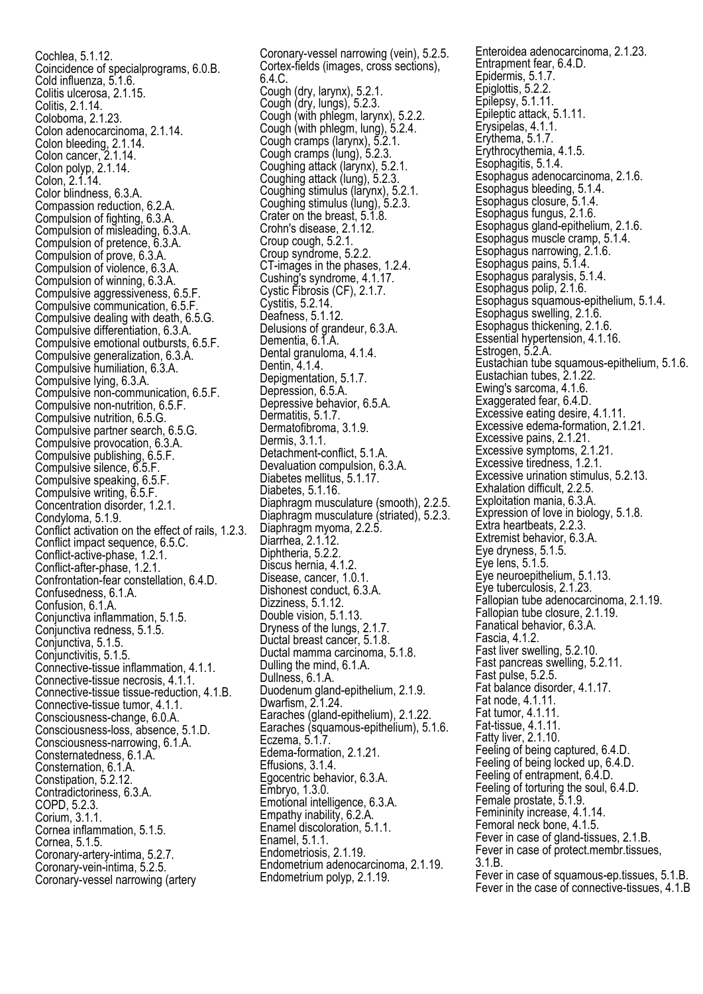Cochlea, 5.1.12. Coincidence of specialprograms, 6.0.B. Cold influenza, 5.1.6. Colitis ulcerosa, 2.1.15. Colitis, 2.1.14. Coloboma, 2.1.23. Colon adenocarcinoma, 2.1.14. Colon bleeding, 2.1.14. Colon cancer, 2.1.14. Colon polyp, 2.1.14. Colon, 2.1.14. Color blindness, 6.3.A. Compassion reduction, 6.2.A. Compulsion of fighting, 6.3.A. Compulsion of misleading, 6.3.A. Compulsion of pretence, 6.3.A. Compulsion of prove, 6.3.A. Compulsion of violence, 6.3.A. Compulsion of winning, 6.3.A. Compulsive aggressiveness, 6.5.F. Compulsive communication, 6.5.F. Compulsive dealing with death, 6.5.G. Compulsive differentiation, 6.3.A. Compulsive emotional outbursts, 6.5.F. Compulsive generalization, 6.3.A. Compulsive humiliation, 6.3.A. Compulsive lying, 6.3.A. Compulsive non-communication, 6.5.F. Compulsive non-nutrition, 6.5.F. Compulsive nutrition, 6.5.G. Compulsive partner search, 6.5.G. Compulsive provocation, 6.3.A. Compulsive publishing, 6.5.F. Compulsive silence, 6.5.F. Compulsive speaking, 6.5.F. Compulsive writing, 6.5.F. Concentration disorder, 1.2.1. Condyloma, 5.1.9. Conflict activation on the effect of rails, 1.2.3. Conflict impact sequence, 6.5.C. Conflict-active-phase, 1.2.1. Conflict-after-phase, 1.2.1. Confrontation-fear constellation, 6.4.D. Confusedness, 6.1.A. Confusion, 6.1.A. Conjunctiva inflammation, 5.1.5. Conjunctiva redness, 5.1.5. Conjunctiva, 5.1.5. Conjunctivitis, 5.1.5. Connective-tissue inflammation, 4.1.1. Connective-tissue necrosis, 4.1.1. Connective-tissue tissue-reduction, 4.1.B. Connective-tissue tumor, 4.1.1. Consciousness-change, 6.0.A. Consciousness-loss, absence, 5.1.D. Consciousness-narrowing, 6.1.A. Consternatedness, 6.1.A. Consternation, 6.1.A. Constipation, 5.2.12. Contradictoriness, 6.3.A. COPD, 5.2.3. Corium, 3.1.1. Cornea inflammation, 5.1.5. Cornea, 5.1.5. Coronary-artery-intima, 5.2.7. Coronary-vein-intima, 5.2.5. Coronary-vessel narrowing (artery

Coronary-vessel narrowing (vein), 5.2.5. Cortex-fields (images, cross sections), 6.4.C. Cough (dry, larynx), 5.2.1. Cough (dry, lungs), 5.2.3. Cough (with phlegm, larynx), 5.2.2. Cough (with phlegm, lung), 5.2.4. Cough cramps (larynx), 5.2.1. Cough cramps (lung), 5.2.3. Coughing attack (larynx), 5.2.1. Coughing attack (lung), 5.2.3. Coughing stimulus (larynx), 5.2.1. Coughing stimulus (lung), 5.2.3. Crater on the breast, 5.1.8. Crohn's disease, 2.1.12. Croup cough, 5.2.1. Croup syndrome, 5.2.2. CT-images in the phases, 1.2.4. Cushing's syndrome, 4.1.17. Cystic Fibrosis (CF), 2.1.7. Cystitis, 5.2.14. Deafness, 5.1.12. Delusions of grandeur, 6.3.A. Dementia, 6.1.A. Dental granuloma, 4.1.4. Dentin, 4.1.4. Depigmentation, 5.1.7. Depression, 6.5.A. Depressive behavior, 6.5.A. Dermatitis, 5.1.7. Dermatofibroma, 3.1.9. Dermis, 3.1.1. Detachment-conflict, 5.1.A. Devaluation compulsion, 6.3.A. Diabetes mellitus, 5.1.17. Diabetes, 5.1.16. Diaphragm musculature (smooth), 2.2.5. Diaphragm musculature (striated), 5.2.3. Diaphragm myoma, 2.2.5. Diarrhea, 2.1.12. Diphtheria, 5.2.2. Discus hernia, 4.1.2. Disease, cancer, 1.0.1. Dishonest conduct, 6.3.A. Dizziness, 5.1.12. Double vision, 5.1.13. Dryness of the lungs, 2.1.7. Ductal breast cancer, 5.1.8. Ductal mamma carcinoma, 5.1.8. Dulling the mind, 6.1.A. Dullness, 6.1.A. Duodenum gland-epithelium, 2.1.9. Dwarfism, 2.1.24. Earaches (gland-epithelium), 2.1.22. Earaches (squamous-epithelium), 5.1.6. Eczema, 5.1.7. Edema-formation, 2.1.21. Effusions, 3.1.4. Egocentric behavior, 6.3.A. Embryo, 1.3.0. Emotional intelligence, 6.3.A. Empathy inability, 6.2.A. Enamel discoloration, 5.1.1. Enamel, 5.1.1. Endometriosis, 2.1.19. Endometrium adenocarcinoma, 2.1.19. Endometrium polyp, 2.1.19.

Enteroidea adenocarcinoma, 2.1.23. Entrapment fear, 6.4.D. Epidermis, 5.1.7. Epiglottis, 5.2.2. Epilepsy, 5.1.11. Epileptic attack, 5.1.11. Erysipelas, 4.1.1. Erythema, 5.1.7. Erythrocythemia, 4.1.5. Esophagitis, 5.1.4. Esophagus adenocarcinoma, 2.1.6. Esophagus bleeding, 5.1.4. Esophagus closure, 5.1.4. Esophagus fungus, 2.1.6. Esophagus gland-epithelium, 2.1.6. Esophagus muscle cramp, 5.1.4. Esophagus narrowing, 2.1.6. Esophagus pains, 5.1.4. Esophagus paralysis, 5.1.4. Esophagus polip, 2.1.6. Esophagus squamous-epithelium, 5.1.4. Esophagus swelling, 2.1.6. Esophagus thickening, 2.1.6. Essential hypertension, 4.1.16. Estrogen, 5.2.A. Eustachian tube squamous-epithelium, 5.1.6. Eustachian tubes, 2.1.22. Ewing's sarcoma, 4.1.6. Exaggerated fear, 6.4.D. Excessive eating desire, 4.1.11. Excessive edema-formation, 2.1.21. Excessive pains, 2.1.21. Excessive symptoms, 2.1.21. Excessive tiredness, 1.2.1. Excessive urination stimulus, 5.2.13. Exhalation difficult, 2.2.5. Exploitation mania, 6.3.A. Expression of love in biology, 5.1.8. Extra heartbeats, 2.2.3. Extremist behavior, 6.3.A. Eye dryness, 5.1.5. Eye lens, 5.1.5. Eye neuroepithelium, 5.1.13. Eye tuberculosis, 2.1.23. Fallopian tube adenocarcinoma, 2.1.19. Fallopian tube closure, 2.1.19. Fanatical behavior, 6.3.A. Fascia, 4.1.2. Fast liver swelling, 5.2.10. Fast pancreas swelling, 5.2.11. Fast pulse, 5.2.5. Fat balance disorder, 4.1.17. Fat node, 4.1.11. Fat tumor, 4.1.11. Fat-tissue, 4.1.11. Fatty liver, 2.1.10. Feeling of being captured, 6.4.D. Feeling of being locked up, 6.4.D. Feeling of entrapment, 6.4.D. Feeling of torturing the soul, 6.4.D. Female prostate, 5.1.9. Femininity increase, 4.1.14. Femoral neck bone, 4.1.5. Fever in case of gland-tissues, 2.1.B. Fever in case of protect.membr.tissues, 3.1.B. Fever in case of squamous-ep.tissues, 5.1.B. Fever in the case of connective-tissues, 4.1.B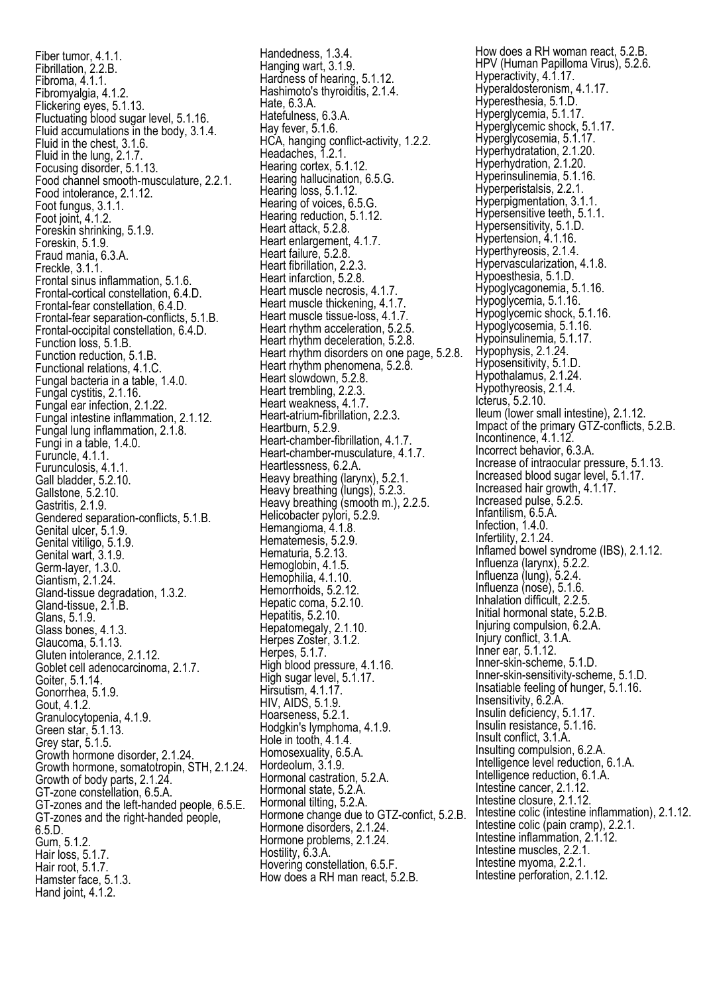Fiber tumor, 4.1.1. Fibrillation, 2.2.B. Fibroma, 4.1.1. Fibromyalgia, 4.1.2. Flickering eyes, 5.1.13. Fluctuating blood sugar level, 5.1.16. Fluid accumulations in the body, 3.1.4. Fluid in the chest, 3.1.6. Fluid in the lung, 2.1.7. Focusing disorder, 5.1.13. Food channel smooth-musculature, 2.2.1. Food intolerance, 2.1.12. Foot fungus, 3.1.1. Foot joint, 4.1.2. Foreskin shrinking, 5.1.9. Foreskin, 5.1.9. Fraud mania, 6.3.A. Freckle, 3.1.1. Frontal sinus inflammation, 5.1.6. Frontal-cortical constellation, 6.4.D. Frontal-fear constellation, 6.4.D. Frontal-fear separation-conflicts, 5.1.B. Frontal-occipital constellation, 6.4.D. Function loss, 5.1.B. Function reduction, 5.1.B. Functional relations, 4.1.C. Fungal bacteria in a table, 1.4.0. Fungal cystitis, 2.1.16. Fungal ear infection, 2.1.22. Fungal intestine inflammation, 2.1.12. Fungal lung inflammation, 2.1.8. Fungi in a table, 1.4.0. Furuncle, 4.1.1. Furunculosis, 4.1.1. Gall bladder, 5.2.10. Gallstone, 5.2.10. Gastritis, 2.1.9. Gendered separation-conflicts, 5.1.B. Genital ulcer, 5.1.9. Genital vitiligo, 5.1.9. Genital wart, 3.1.9. Germ-layer, 1.3.0. Giantism, 2.1.24. Gland-tissue degradation, 1.3.2. Gland-tissue, 2.1.B. Glans, 5.1.9. Glass bones, 4.1.3. Glaucoma, 5.1.13. Gluten intolerance, 2.1.12. Goblet cell adenocarcinoma, 2.1.7. Goiter, 5.1.14. Gonorrhea, 5.1.9. Gout, 4.1.2. Granulocytopenia, 4.1.9. Green star, 5.1.13. Grey star, 5.1.5. Growth hormone disorder, 2.1.24. Growth hormone, somatotropin, STH, 2.1.24. Growth of body parts, 2.1.24. GT-zone constellation, 6.5.A. GT-zones and the left-handed people, 6.5.E. GT-zones and the right-handed people, 6.5.D. Gum, 5.1.2. Hair loss, 5.1.7. Hair root, 5.1.7. Hamster face, 5.1.3. Hand joint, 4.1.2.

Handedness, 1.3.4. Hanging wart, 3.1.9. Hardness of hearing, 5.1.12. Hashimoto's thyroiditis, 2.1.4. Hate, 6.3.A. Hatefulness, 6.3.A. Hay fever, 5.1.6. HCA, hanging conflict-activity, 1.2.2. Headaches, 1.2.1. Hearing cortex, 5.1.12. Hearing hallucination, 6.5.G. Hearing loss, 5.1.12. Hearing of voices, 6.5.G. Hearing reduction, 5.1.12. Heart attack, 5.2.8. Heart enlargement, 4.1.7. Heart failure, 5.2.8. Heart fibrillation, 2.2.3. Heart infarction, 5.2.8. Heart muscle necrosis, 4.1.7. Heart muscle thickening, 4.1.7. Heart muscle tissue-loss, 4.1.7. Heart rhythm acceleration, 5.2.5. Heart rhythm deceleration, 5.2.8. Heart rhythm disorders on one page, 5.2.8. Heart rhythm phenomena, 5.2.8. Heart slowdown, 5.2.8. Heart trembling, 2.2.3. Heart weakness, 4.1.7. Heart-atrium-fibrillation, 2.2.3. Heartburn, 5.2.9. Heart-chamber-fibrillation, 4.1.7. Heart-chamber-musculature, 4.1.7. Heartlessness, 6.2.A. Heavy breathing (larynx), 5.2.1. Heavy breathing (lungs), 5.2.3. Heavy breathing (smooth m.), 2.2.5. Helicobacter pylori, 5.2.9. Hemangioma, 4.1.8. Hematemesis, 5.2.9. Hematuria, 5.2.13. Hemoglobin, 4.1.5. Hemophilia, 4.1.10. Hemorrhoids, 5.2.12. Hepatic coma, 5.2.10. Hepatitis, 5.2.10 Hepatomegaly, 2.1.10. Herpes Zoster, 3.1.2. Herpes, 5.1.7. High blood pressure, 4.1.16. High sugar level, 5.1.17. Hirsutism, 4.1.17. HIV, AIDS, 5.1.9. Hoarseness, 5.2.1. Hodgkin's lymphoma, 4.1.9. Hole in tooth, 4.1.4. Homosexuality, 6.5.A. Hordeolum, 3.1.9. Hormonal castration, 5.2.A. Hormonal state, 5.2.A. Hormonal tilting, 5.2.A. Hormone change due to GTZ-confict, 5.2.B. Hormone disorders, 2.1.24. Hormone problems, 2.1.24. Hostility, 6.3.A. Hovering constellation, 6.5.F. How does a RH man react, 5.2.B.

How does a RH woman react, 5.2.B. HPV (Human Papilloma Virus), 5.2.6. Hyperactivity, 4.1.17. Hyperaldosteronism, 4.1.17. Hyperesthesia, 5.1.D. Hyperglycemia, 5.1.17. Hyperglycemic shock, 5.1.17. Hyperglycosemia, 5.1.17. Hyperhydratation, 2.1.20. Hyperhydration, 2.1.20. Hyperinsulinemia, 5.1.16. Hyperperistalsis, 2.2.1. Hyperpigmentation, 3.1.1. Hypersensitive teeth, 5.1.1. Hypersensitivity, 5.1.D. Hypertension, 4.1.16. Hyperthyreosis, 2.1.4. Hypervascularization, 4.1.8. Hypoesthesia, 5.1.D. Hypoglycagonemia, 5.1.16. Hypoglycemia, 5.1.16. Hypoglycemic shock, 5.1.16. Hypoglycosemia, 5.1.16. Hypoinsulinemia, 5.1.17. Hypophysis, 2.1.24. Hyposensitivity, 5.1.D. Hypothalamus, 2.1.24. Hypothyreosis, 2.1.4. Icterus, 5.2.10. Ileum (lower small intestine), 2.1.12. Impact of the primary GTZ-conflicts, 5.2.B. Incontinence, 4.1.12. Incorrect behavior, 6.3.A. Increase of intraocular pressure, 5.1.13. Increased blood sugar level, 5.1.17. Increased hair growth, 4.1.17. Increased pulse, 5.2.5. Infantilism, 6.5.A. Infection, 1.4.0. Infertility, 2.1.24. Inflamed bowel syndrome (IBS), 2.1.12. Influenza (larynx), 5.2.2. Influenza (lung), 5.2.4. Influenza (nose), 5.1.6. Inhalation difficult, 2.2.5 Initial hormonal state, 5.2.B. Injuring compulsion, 6.2.A. Injury conflict, 3.1.A. Inner ear, 5.1.12. Inner-skin-scheme, 5.1.D. Inner-skin-sensitivity-scheme, 5.1.D. Insatiable feeling of hunger, 5.1.16. Insensitivity, 6.2.A. Insulin deficiency, 5.1.17. Insulin resistance, 5.1.16. Insult conflict, 3.1.A. Insulting compulsion, 6.2.A. Intelligence level reduction, 6.1.A. Intelligence reduction, 6.1.A. Intestine cancer, 2.1.12. Intestine closure, 2.1.12. Intestine colic (intestine inflammation), 2.1.12. Intestine colic (pain cramp), 2.2.1. Intestine inflammation, 2.1.12. Intestine muscles, 2.2.1. Intestine myoma, 2.2.1. Intestine perforation, 2.1.12.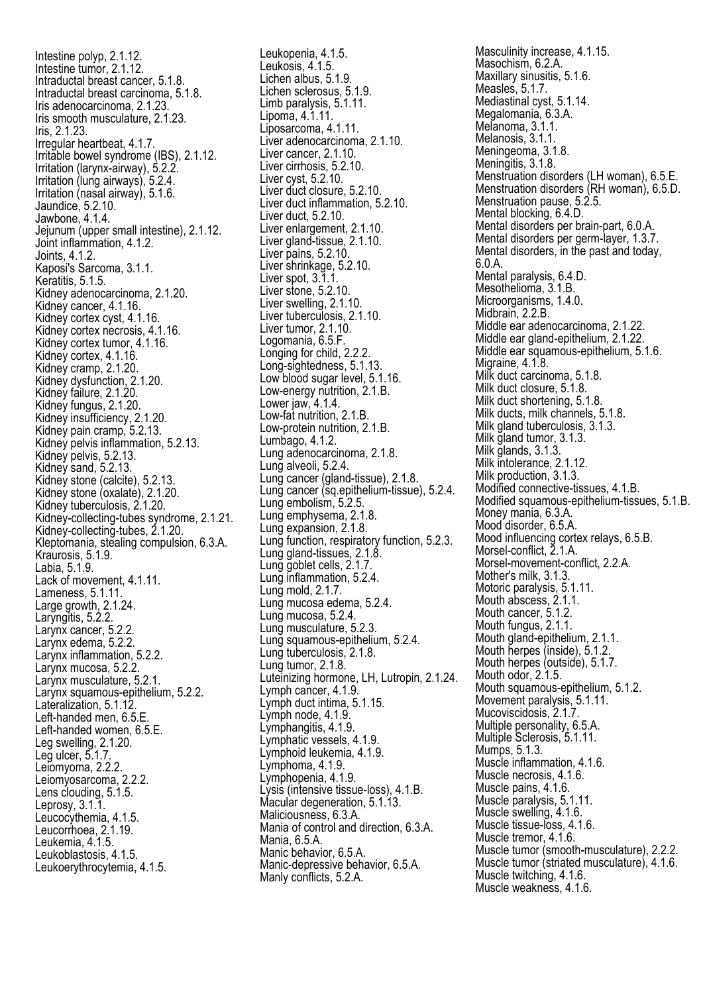Intestine polyp, 2.1.12. Intestine tumor, 2.1.12. Intraductal breast cancer, 5.1.8. Intraductal breast carcinoma, 5.1.8. Iris adenocarcinoma, 2.1.23. Iris smooth musculature, 2.1.23. Iris, 2.1.23. Irregular heartbeat, 4.1.7. Irritable bowel syndrome (IBS), 2.1.12. Irritation (larynx-airway), 5.2.2. Irritation (lung airways), 5.2.4. Irritation (nasal airway), 5.1.6. Jaundice, 5.2.10. Jawbone, 4.1.4. Jejunum (upper small intestine), 2.1.12. Joint inflammation, 4.1.2. Joints, 4.1.2. Kaposi's Sarcoma, 3.1.1. Keratitis, 5.1.5. Kidney adenocarcinoma, 2.1.20. Kidney cancer, 4.1.16. Kidney cortex cyst, 4.1.16. Kidney cortex necrosis, 4.1.16. Kidney cortex tumor, 4.1.16. Kidney cortex, 4.1.16. Kidney cramp, 2.1.20. Kidney dysfunction, 2.1.20. Kidney failure, 2.1.20. Kidney fungus, 2.1.20. Kidney insufficiency, 2.1.20. Kidney pain cramp, 5.2.13. Kidney pelvis inflammation, 5.2.13. Kidney pelvis, 5.2.13. Kidney sand, 5.2.13. Kidney stone (calcite), 5.2.13. Kidney stone (oxalate), 2.1.20. Kidney tuberculosis, 2.1.20. Kidney-collecting-tubes syndrome, 2.1.21. Kidney-collecting-tubes, 2.1.20. Kleptomania, stealing compulsion, 6.3.A. Kraurosis, 5.1.9. Labia, 5.1.9. Lack of movement, 4.1.11. Lameness, 5.1.11. Large growth, 2.1.24. Laryngitis, 5.2.2. Larynx cancer, 5.2.2. Larynx edema, 5.2.2. Larynx inflammation, 5.2.2. Larynx mucosa, 5.2.2. Larynx musculature, 5.2.1. Larynx squamous-epithelium, 5.2.2. Lateralization, 5.1.12. Left-handed men, 6.5.E. Left-handed women, 6.5.E. Leg swelling, 2.1.20. Leg ulcer, 5.1.7. Leiomyoma, 2.2.2. Leiomyosarcoma, 2.2.2. Lens clouding, 5.1.5. Leprosy, 3.1.1. Leucocythemia, 4.1.5. Leucorrhoea, 2.1.19. Leukemia, 4.1.5. Leukoblastosis, 4.1.5. Leukoerythrocytemia, 4.1.5.

Leukopenia, 4.1.5. Leukosis, 4.1.5. Lichen albus, 5.1.9. Lichen sclerosus, 5.1.9. Limb paralysis, 5.1.11. Lipoma, 4.1.11. Liposarcoma, 4.1.11. Liver adenocarcinoma, 2.1.10. Liver cancer, 2.1.10. Liver cirrhosis, 5.2.10. Liver cyst, 5.2.10. Liver duct closure, 5.2.10. Liver duct inflammation, 5.2.10. Liver duct, 5.2.10. Liver enlargement, 2.1.10. Liver gland-tissue, 2.1.10. Liver pains, 5.2.10. Liver shrinkage, 5.2.10. Liver spot, 3.1.1. Liver stone, 5.2.10. Liver swelling, 2.1.10. Liver tuberculosis, 2.1.10. Liver tumor, 2.1.10. Logomania, 6.5.F. Longing for child, 2.2.2. Long-sightedness, 5.1.13. Low blood sugar level, 5.1.16. Low-energy nutrition, 2.1.B. Lower jaw, 4.1.4. Low-fat nutrition, 2.1.B. Low-protein nutrition, 2.1.B. Lumbago, 4.1.2. Lung adenocarcinoma, 2.1.8. Lung alveoli, 5.2.4. Lung cancer (gland-tissue), 2.1.8. Lung cancer (sq.epithelium-tissue), 5.2.4. Lung embolism, 5.2.5. Lung emphysema, 2.1.8. Lung expansion, 2.1.8. Lung function, respiratory function, 5.2.3. Lung gland-tissues, 2.1.8. Lung goblet cells, 2.1.7. Lung inflammation, 5.2.4. Lung mold, 2.1.7. Lung mucosa edema, 5.2.4. Lung mucosa, 5.2.4. Lung musculature, 5.2.3. Lung squamous-epithelium, 5.2.4. Lung tuberculosis, 2.1.8. Lung tumor, 2.1.8. Luteinizing hormone, LH, Lutropin, 2.1.24. Lymph cancer, 4.1.9. Lymph duct intima, 5.1.15. Lymph node, 4.1.9. Lymphangitis, 4.1.9. Lymphatic vessels, 4.1.9. Lymphoid leukemia, 4.1.9. Lymphoma, 4.1.9. Lymphopenia, 4.1.9. Lysis (intensive tissue-loss), 4.1.B. Macular degeneration, 5.1.13. Maliciousness, 6.3.A. Mania of control and direction, 6.3.A. Mania, 6.5.A. Manic behavior, 6.5.A. Manic-depressive behavior, 6.5.A. Manly conflicts, 5.2.A.

Masculinity increase, 4.1.15. Masochism, 6.2.A. Maxillary sinusitis, 5.1.6. Measles, 5.1.7. Mediastinal cyst, 5.1.14. Megalomania, 6.3.A. Melanoma, 3.1.1. Melanosis, 3.1.1. Meningeoma, 3.1.8. Meningitis, 3.1.8. Menstruation disorders (LH woman), 6.5.E. Menstruation disorders (RH woman), 6.5.D. Menstruation pause, 5.2.5. Mental blocking, 6.4.D. Mental disorders per brain-part, 6.0.A. Mental disorders per germ-layer, 1.3.7. Mental disorders, in the past and today, 6.0.A. Mental paralysis, 6.4.D. Mesothelioma, 3.1.B. Microorganisms, 1.4.0. Midbrain, 2.2.B. Middle ear adenocarcinoma, 2.1.22. Middle ear gland-epithelium, 2.1.22. Middle ear squamous-epithelium, 5.1.6. Migraine, 4.1.8. Milk duct carcinoma, 5.1.8. Milk duct closure, 5.1.8. Milk duct shortening, 5.1.8. Milk ducts, milk channels, 5.1.8. Milk gland tuberculosis, 3.1.3. Milk gland tumor, 3.1.3. Milk glands, 3.1.3. Milk intolerance, 2.1.12. Milk production, 3.1.3. Modified connective-tissues, 4.1.B. Modified squamous-epithelium-tissues, 5.1.B. Money mania, 6.3.A. Mood disorder, 6.5.A. Mood influencing cortex relays, 6.5.B. Morsel-conflict, 2.1.A. Morsel-movement-conflict, 2.2.A. Mother's milk, 3.1.3. Motoric paralysis, 5.1.11. Mouth abscess, 2.1.1. Mouth cancer, 5.1.2. Mouth fungus, 2.1.1. Mouth gland-epithelium, 2.1.1. Mouth herpes (inside), 5.1.2. Mouth herpes (outside), 5.1.7. Mouth odor, 2.1.5. Mouth squamous-epithelium, 5.1.2. Movement paralysis, 5.1.11. Mucoviscidosis, 2.1.7. Multiple personality, 6.5.A. Multiple Sclerosis, 5.1.11. Mumps, 5.1.3. Muscle inflammation, 4.1.6. Muscle necrosis, 4.1.6. Muscle pains, 4.1.6. Muscle paralysis, 5.1.11. Muscle swelling, 4.1.6. Muscle tissue-loss, 4.1.6. Muscle tremor, 4.1.6. Muscle tumor (smooth-musculature), 2.2.2. Muscle tumor (striated musculature), 4.1.6. Muscle twitching, 4.1.6. Muscle weakness, 4.1.6.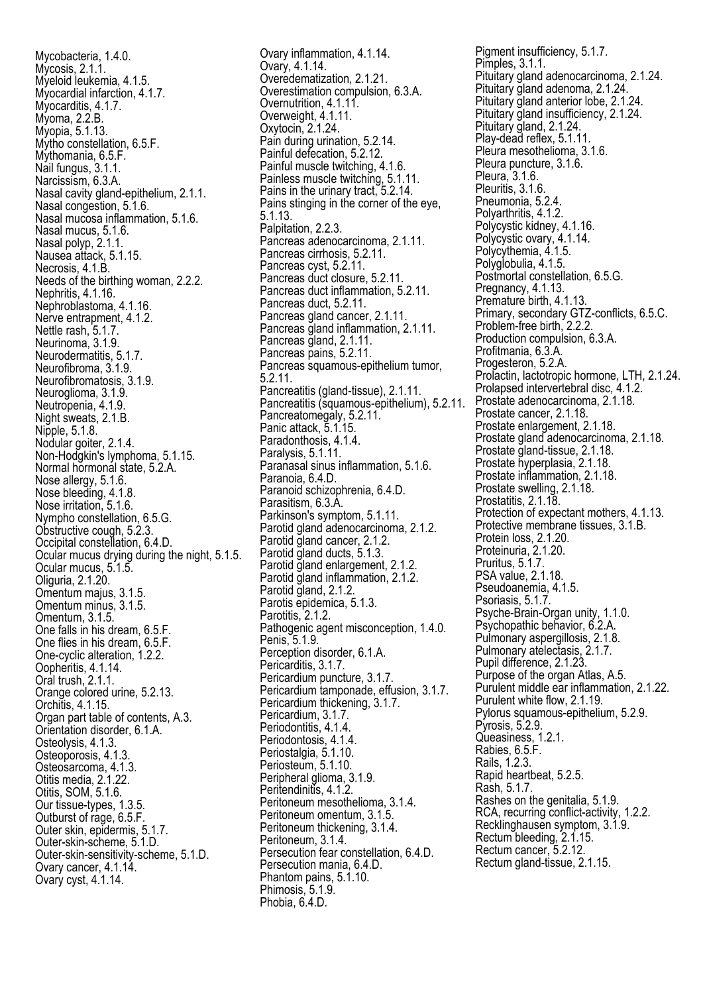Mycobacteria, 1.4.0. Mycosis, 2.1.1. Myeloid leukemia, 4.1.5. Myocardial infarction, 4.1.7. Myocarditis, 4.1.7. Myoma, 2.2.B. Myopia, 5.1.13. Mytho constellation, 6.5.F. Mythomania, 6.5.F. Nail fungus, 3.1.1. Narcissism, 6.3.A. Nasal cavity gland-epithelium, 2.1.1. Nasal congestion, 5.1.6. Nasal mucosa inflammation, 5.1.6. Nasal mucus, 5.1.6. Nasal polyp, 2.1.1. Nausea attack, 5.1.15. Necrosis, 4.1.B. Needs of the birthing woman, 2.2.2. Nephritis, 4.1.16. Nephroblastoma, 4.1.16. Nerve entrapment, 4.1.2. Nettle rash, 5.1.7. Neurinoma, 3.1.9. Neurodermatitis, 5.1.7. Neurofibroma, 3.1.9. Neurofibromatosis, 3.1.9. Neuroglioma, 3.1.9. Neutropenia, 4.1.9. Night sweats, 2.1.B. Nipple, 5.1.8. Nodular goiter, 2.1.4. Non-Hodgkin's lymphoma, 5.1.15. Normal hormonal state, 5.2.A. Nose allergy, 5.1.6. Nose bleeding, 4.1.8. Nose irritation, 5.1.6. Nympho constellation, 6.5.G. Obstructive cough, 5.2.3. Occipital constellation, 6.4.D. Ocular mucus drying during the night, 5.1.5. Ocular mucus, 5.1.5. Oliguria, 2.1.20. Omentum majus, 3.1.5. Omentum minus, 3.1.5. Omentum, 3.1.5. One falls in his dream, 6.5.F. One flies in his dream, 6.5.F. One-cyclic alteration, 1.2.2. Oopheritis, 4.1.14. Oral trush, 2.1.1. Orange colored urine, 5.2.13. Orchitis, 4.1.15. Organ part table of contents, A.3. Orientation disorder, 6.1.A. Osteolysis, 4.1.3. Osteoporosis, 4.1.3. Osteosarcoma, 4.1.3. Otitis media, 2.1.22. Otitis, SOM, 5.1.6. Our tissue-types, 1.3.5. Outburst of rage, 6.5.F. Outer skin, epidermis, 5.1.7. Outer-skin-scheme, 5.1.D. Outer-skin-sensitivity-scheme, 5.1.D. Ovary cancer, 4.1.14. Ovary cyst, 4.1.14.

Ovary inflammation, 4.1.14. Ovary, 4.1.14. Overedematization, 2.1.21. Overestimation compulsion, 6.3.A. Overnutrition, 4.1.11. Overweight, 4.1.11. Oxytocin, 2.1.24. Pain during urination, 5.2.14. Painful defecation, 5.2.12. Painful muscle twitching, 4.1.6. Painless muscle twitching, 5.1.11. Pains in the urinary tract, 5.2.14. Pains stinging in the corner of the eye, 5.1.13. Palpitation, 2.2.3. Pancreas adenocarcinoma, 2.1.11. Pancreas cirrhosis, 5.2.11. Pancreas cyst, 5.2.11. Pancreas duct closure, 5.2.11. Pancreas duct inflammation, 5.2.11. Pancreas duct, 5.2.11. Pancreas gland cancer, 2.1.11. Pancreas gland inflammation, 2.1.11. Pancreas gland, 2.1.11. Pancreas pains, 5.2.11. Pancreas squamous-epithelium tumor, 5.2.11. Pancreatitis (gland-tissue), 2.1.11. Pancreatitis (squamous-epithelium), 5.2.11. Pancreatomegaly, 5.2.11. Panic attack, 5.1.15. Paradonthosis, 4.1.4. Paralysis, 5.1.11. Paranasal sinus inflammation, 5.1.6. Paranoia, 6.4.D. Paranoid schizophrenia, 6.4.D. Parasitism, 6.3.A. Parkinson's symptom, 5.1.11. Parotid gland adenocarcinoma, 2.1.2. Parotid gland cancer, 2.1.2. Parotid gland ducts, 5.1.3. Parotid gland enlargement, 2.1.2. Parotid gland inflammation, 2.1.2. Parotid gland, 2.1.2. Parotis epidemica, 5.1.3. Parotitis, 2.1.2. Pathogenic agent misconception, 1.4.0. Penis, 5.1.9. Perception disorder, 6.1.A. Pericarditis, 3.1.7. Pericardium puncture, 3.1.7. Pericardium tamponade, effusion, 3.1.7. Pericardium thickening, 3.1.7. Pericardium, 3.1.7. Periodontitis, 4.1.4. Periodontosis, 4.1.4. Periostalgia, 5.1.10. Periosteum, 5.1.10. Peripheral glioma, 3.1.9. Peritendinitis, 4.1.2. Peritoneum mesothelioma, 3.1.4. Peritoneum omentum, 3.1.5. Peritoneum thickening, 3.1.4. Peritoneum, 3.1.4. Persecution fear constellation, 6.4.D. Persecution mania, 6.4.D. Phantom pains, 5.1.10. Phimosis, 5.1.9. Phobia, 6.4.D.

Pigment insufficiency, 5.1.7. Pimples, 3.1.1. Pituitary gland adenocarcinoma, 2.1.24. Pituitary gland adenoma, 2.1.24. Pituitary gland anterior lobe, 2.1.24. Pituitary gland insufficiency, 2.1.24. Pituitary gland, 2.1.24. Play-dead reflex, 5.1.11 Pleura mesothelioma, 3.1.6. Pleura puncture, 3.1.6. Pleura, 3.1.6. Pleuritis, 3.1.6. Pneumonia, 5.2.4. Polyarthritis, 4.1.2. Polycystic kidney, 4.1.16. Polycystic ovary, 4.1.14. Polycythemia, 4.1.5. Polyglobulia, 4.1.5. Postmortal constellation, 6.5.G. Pregnancy, 4.1.13. Premature birth, 4.1.13. Primary, secondary GTZ-conflicts, 6.5.C. Problem-free birth, 2.2.2. Production compulsion, 6.3.A. Profitmania, 6.3.A. Progesteron, 5.2.A. Prolactin, lactotropic hormone, LTH, 2.1.24. Prolapsed intervertebral disc, 4.1.2. Prostate adenocarcinoma, 2.1.18. Prostate cancer, 2.1.18. Prostate enlargement, 2.1.18. Prostate gland adenocarcinoma, 2.1.18. Prostate gland-tissue, 2.1.18. Prostate hyperplasia, 2.1.18. Prostate inflammation, 2.1.18. Prostate swelling, 2.1.18. Prostatitis, 2.1.18 Protection of expectant mothers, 4.1.13. Protective membrane tissues, 3.1.B. Protein loss, 2.1.20. Proteinuria, 2.1.20. Pruritus, 5.1.7. PSA value, 2.1.18. Pseudoanemia, 4.1.5. Psoriasis, 5.1.7. Psyche-Brain-Organ unity, 1.1.0. Psychopathic behavior, 6.2.A. Pulmonary aspergillosis, 2.1.8. Pulmonary atelectasis, 2.1.7. Pupil difference, 2.1.23. Purpose of the organ Atlas, A.5. Purulent middle ear inflammation, 2.1.22. Purulent white flow, 2.1.19. Pylorus squamous-epithelium, 5.2.9. Pyrosis, 5.2.9. Queasiness, 1.2.1. Rabies, 6.5.F. Rails, 1.2.3. Rapid heartbeat, 5.2.5. Rash, 5.1.7. Rashes on the genitalia, 5.1.9. RCA, recurring conflict-activity, 1.2.2. Recklinghausen symptom, 3.1.9. Rectum bleeding, 2.1.15. Rectum cancer, 5.2.12. Rectum gland-tissue, 2.1.15.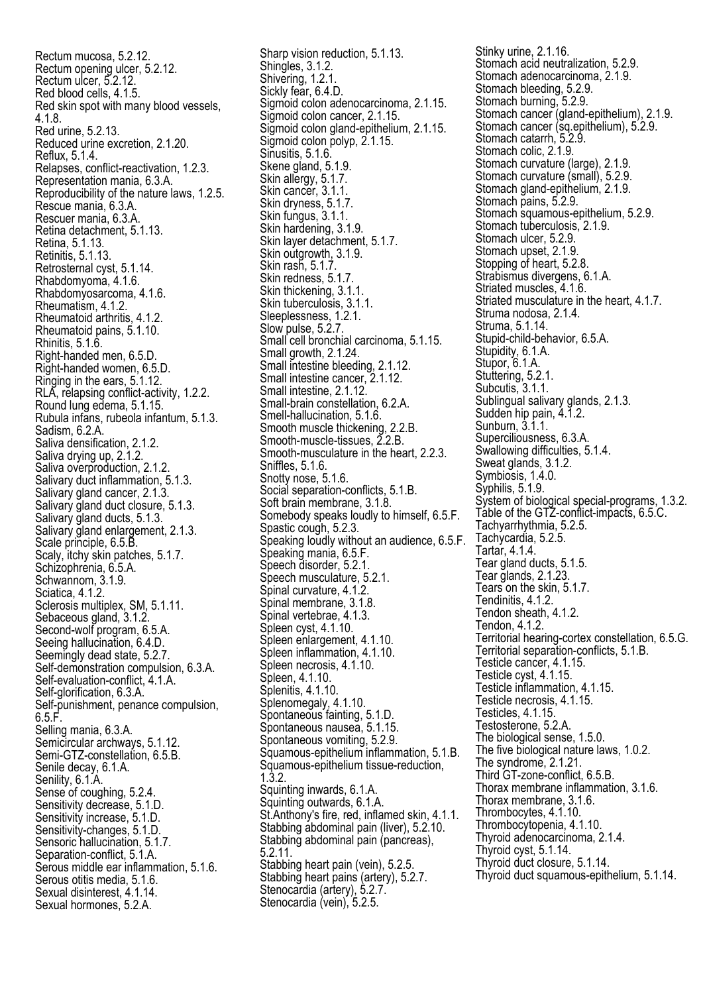Rectum mucosa, 5.2.12. Rectum opening ulcer, 5.2.12. Rectum ulcer, 5.2.12. Red blood cells, 4.1.5. Red skin spot with many blood vessels, 4.1.8. Red urine, 5.2.13. Reduced urine excretion, 2.1.20. Reflux, 5.1.4. Relapses, conflict-reactivation, 1.2.3. Representation mania, 6.3.A. Reproducibility of the nature laws, 1.2.5. Rescue mania, 6.3.A. Rescuer mania, 6.3.A. Retina detachment, 5.1.13. Retina, 5.1.13. Retinitis, 5.1.13. Retrosternal cyst, 5.1.14. Rhabdomyoma, 4.1.6. Rhabdomyosarcoma, 4.1.6. Rheumatism, 4.1.2. Rheumatoid arthritis, 4.1.2. Rheumatoid pains, 5.1.10. Rhinitis, 5.1.6. Right-handed men, 6.5.D. Right-handed women, 6.5.D. Ringing in the ears, 5.1.12. RLA, relapsing conflict-activity, 1.2.2. Round lung edema, 5.1.15. Rubula infans, rubeola infantum, 5.1.3. Sadism, 6.2.A. Saliva densification, 2.1.2. Saliva drying up, 2.1.2. Saliva overproduction, 2.1.2. Salivary duct inflammation, 5.1.3. Salivary gland cancer, 2.1.3. Salivary gland duct closure, 5.1.3. Salivary gland ducts, 5.1.3. Salivary gland enlargement, 2.1.3. Scale principle, 6.5.B. Scaly, itchy skin patches, 5.1.7. Schizophrenia, 6.5.A. Schwannom, 3.1.9. Sciatica, 4.1.2. Sclerosis multiplex, SM, 5.1.11. Sebaceous gland, 3.1.2. Second-wolf program, 6.5.A. Seeing hallucination, 6.4.D. Seemingly dead state, 5.2.7. Self-demonstration compulsion, 6.3.A. Self-evaluation-conflict, 4.1.A. Self-glorification, 6.3.A. Self-punishment, penance compulsion,  $6.5.F.$ Selling mania, 6.3.A. Semicircular archways, 5.1.12. Semi-GTZ-constellation, 6.5.B. Senile decay, 6.1.A. Senility, 6.1.A. Sense of coughing, 5.2.4. Sensitivity decrease, 5.1.D. Sensitivity increase, 5.1.D. Sensitivity-changes, 5.1.D. Sensoric hallucination, 5.1.7. Separation-conflict, 5.1.A. Serous middle ear inflammation, 5.1.6. Serous otitis media, 5.1.6. Sexual disinterest, 4.1.14. Sexual hormones, 5.2.A.

Sharp vision reduction, 5.1.13. Shingles, 3.1.2. Shivering, 1.2.1. Sickly fear, 6.4.D. Sigmoid colon adenocarcinoma, 2.1.15. Sigmoid colon cancer, 2.1.15. Sigmoid colon gland-epithelium, 2.1.15. Sigmoid colon polyp, 2.1.15. Sinusitis, 5.1.6. Skene gland, 5.1.9. Skin allergy, 5.1.7. Skin cancer, 3.1.1. Skin dryness, 5.1.7. Skin fungus, 3.1.1. Skin hardening, 3.1.9. Skin layer detachment, 5.1.7. Skin outgrowth, 3.1.9. Skin rash, 5.1.7. Skin redness, 5.1.7. Skin thickening, 3.1.1. Skin tuberculosis, 3.1.1. Sleeplessness, 1.2.1. Slow pulse, 5.2.7. Small cell bronchial carcinoma, 5.1.15. Small growth, 2.1.24. Small intestine bleeding, 2.1.12. Small intestine cancer, 2.1.12. Small intestine, 2.1.12. Small-brain constellation, 6.2.A. Smell-hallucination, 5.1.6. Smooth muscle thickening, 2.2.B. Smooth-muscle-tissues, 2.2.B. Smooth-musculature in the heart, 2.2.3. Sniffles, 5.1.6. Snotty nose, 5.1.6. Social separation-conflicts, 5.1.B. Soft brain membrane, 3.1.8. Somebody speaks loudly to himself, 6.5.F. Spastic cough, 5.2.3. Speaking loudly without an audience, 6.5.F. Speaking mania, 6.5.F. Speech disorder, 5.2.1. Speech musculature, 5.2.1. Spinal curvature, 4.1.2. Spinal membrane, 3.1.8. Spinal vertebrae, 4.1.3. Spleen cyst, 4.1.10. Spleen enlargement, 4.1.10. Spleen inflammation, 4.1.10. Spleen necrosis, 4.1.10. Spleen, 4.1.10. Splenitis, 4.1.10. Splenomegaly, 4.1.10. Spontaneous fainting, 5.1.D. Spontaneous nausea, 5.1.15. Spontaneous vomiting, 5.2.9. Squamous-epithelium inflammation, 5.1.B. Squamous-epithelium tissue-reduction, 1.3.2. Squinting inwards, 6.1.A. Squinting outwards, 6.1.A. St.Anthony's fire, red, inflamed skin, 4.1.1. Stabbing abdominal pain (liver), 5.2.10. Stabbing abdominal pain (pancreas), 5.2.11. Stabbing heart pain (vein), 5.2.5. Stabbing heart pains (artery), 5.2.7. Stenocardia (artery), 5.2.7. Stenocardia (vein), 5.2.5.

Stinky urine, 2.1.16. Stomach acid neutralization, 5.2.9. Stomach adenocarcinoma, 2.1.9. Stomach bleeding, 5.2.9. Stomach burning, 5.2.9. Stomach cancer (gland-epithelium), 2.1.9. Stomach cancer (sq.epithelium), 5.2.9. Stomach catarrh, 5.2.9. Stomach colic, 2.1.9. Stomach curvature (large), 2.1.9. Stomach curvature (small), 5.2.9. Stomach gland-epithelium, 2.1.9. Stomach pains, 5.2.9. Stomach squamous-epithelium, 5.2.9. Stomach tuberculosis, 2.1.9. Stomach ulcer, 5.2.9. Stomach upset, 2.1.9 Stopping of heart, 5.2.8. Strabismus divergens, 6.1.A. Striated muscles, 4.1.6. Striated musculature in the heart, 4.1.7. Struma nodosa, 2.1.4. Struma, 5.1.14. Stupid-child-behavior, 6.5.A. Stupidity, 6.1.A. Stupor, 6.1.A. Stuttering, 5.2.1. Subcutis, 3.1.1. Sublingual salivary glands, 2.1.3. Sudden hip pain, 4.1.2. Sunburn, 3.1.1. Superciliousness, 6.3.A. Swallowing difficulties, 5.1.4. Sweat glands, 3.1.2. Symbiosis, 1.4.0. Syphilis, 5.1.9. System of biological special-programs, 1.3.2. Table of the GTZ-conflict-impacts, 6.5.C. Tachyarrhythmia, 5.2.5. Tachycardia, 5.2.5. Tartar, 4.1.4. Tear gland ducts, 5.1.5. Tear glands, 2.1.23. Tears on the skin, 5.1.7. Tendinitis, 4.1.2. Tendon sheath, 4.1.2. Tendon, 4.1.2. Territorial hearing-cortex constellation, 6.5.G. Territorial separation-conflicts, 5.1.B. Testicle cancer, 4.1.15. Testicle cyst, 4.1.15. Testicle inflammation, 4.1.15. Testicle necrosis, 4.1.15. Testicles, 4.1.15. Testosterone, 5.2.A. The biological sense, 1.5.0. The five biological nature laws, 1.0.2. The syndrome, 2.1.21. Third GT-zone-conflict, 6.5.B. Thorax membrane inflammation, 3.1.6. Thorax membrane, 3.1.6. Thrombocytes, 4.1.10. Thrombocytopenia, 4.1.10. Thyroid adenocarcinoma, 2.1.4. Thyroid cyst, 5.1.14. Thyroid duct closure, 5.1.14. Thyroid duct squamous-epithelium, 5.1.14.